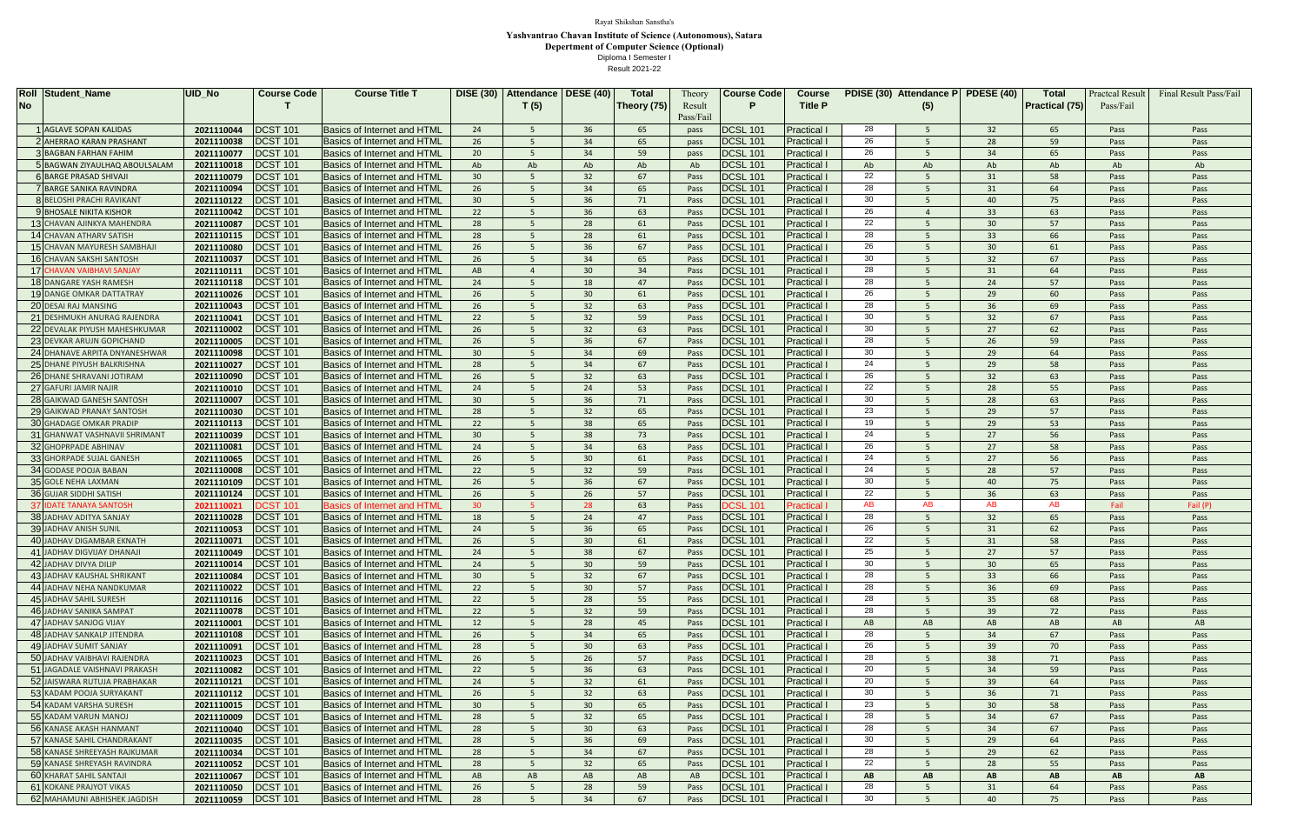| <b>Roll Student_Name</b>         | <b>UID No</b> | <b>Course Code</b> | <b>Course Title T</b>              | <b>DISE (30)</b> | <b>Attendance</b> | <b>DESE (40)</b> | <b>Total</b> | Theory    | <b>Course Code</b> | <b>Course</b>      |     | PDISE (30) Attendance P | <b>PDESE (40)</b> | Total                 | Practcal Resu | <b>Final Result Pass/Fail</b> |
|----------------------------------|---------------|--------------------|------------------------------------|------------------|-------------------|------------------|--------------|-----------|--------------------|--------------------|-----|-------------------------|-------------------|-----------------------|---------------|-------------------------------|
| No                               |               |                    |                                    |                  | T(5)              |                  | Theory (75)  | Result    | P                  | <b>Title P</b>     |     | (5)                     |                   | <b>Practical (75)</b> | Pass/Fail     |                               |
|                                  |               |                    |                                    |                  |                   |                  |              | Pass/Fail |                    |                    |     |                         |                   |                       |               |                               |
| <b>AGLAVE SOPAN KALIDAS</b>      | 2021110044    | <b>DCST 101</b>    | <b>Basics of Internet and HTML</b> | 24               |                   | 36               | 65           | pass      | <b>DCSL 101</b>    | Practical          | 28  |                         | 32                | 65                    | Pass          | Pass                          |
| 2 AHERRAO KARAN PRASHANT         | 2021110038    | <b>DCST 101</b>    | <b>Basics of Internet and HTML</b> | 26               |                   | 34               | 65           | pass      | <b>DCSL 101</b>    | Practical          | 26  |                         | 28                | 59                    | Pass          | Pass                          |
| <b>3 BAGBAN FARHAN FAHIM</b>     | 2021110077    | <b>DCST 101</b>    | <b>Basics of Internet and HTML</b> | 20               |                   | 34               | 59           | pass      | <b>DCSL 101</b>    | Practical          | 26  |                         | 34                | 65                    | Pass          | Pass                          |
| 5 BAGWAN ZIYAULHAQ ABOULSALAM    | 2021110018    | <b>DCST 101</b>    | <b>Basics of Internet and HTML</b> | Ab               | Ab                | Ab               | Ab           | Ab        | <b>DCSL 101</b>    | Practical          | Ab  | Ab                      | Ab                | Ab                    | Ab.           | Ab                            |
| <b>G BARGE PRASAD SHIVAJI</b>    | 2021110079    | <b>DCST 101</b>    | <b>Basics of Internet and HTML</b> | 30 <sup>°</sup>  | 5                 | 32               | 67           | Pass      | <b>DCSL 101</b>    | Practical          | 22  | -5                      | 31                | 58                    | Pass          | Pass                          |
| 7 BARGE SANIKA RAVINDRA          | 2021110094    | <b>DCST 101</b>    | <b>Basics of Internet and HTML</b> | 26               |                   | 34               | 65           | Pass      | <b>DCSL 101</b>    | Practical          | 28  |                         | 31                | 64                    | Pass          | Pass                          |
| <b>BIBELOSHI PRACHI RAVIKANT</b> | 2021110122    | <b>DCST 101</b>    | <b>Basics of Internet and HTML</b> | 30 <sup>°</sup>  | -5                | 36               | 71           | Pass      | <b>DCSL 101</b>    | Practical          | 30  | $\overline{5}$          | 40                | 75                    | Pass          | Pass                          |
| 9 BHOSALE NIKITA KISHOR          | 2021110042    | <b>DCST 101</b>    | <b>Basics of Internet and HTML</b> | 22               |                   | 36               | 63           | Pass      | <b>DCSL 101</b>    | Practical          | 26  |                         | 33                | 63                    | Pass          | Pass                          |
| 13 CHAVAN AJINKYA MAHENDRA       | 2021110087    | <b>DCST 101</b>    | <b>Basics of Internet and HTML</b> | 28               |                   | 28               | 61           | Pass      | <b>DCSL 101</b>    | Practical          | 22  |                         | 30                | 57                    | Pass          | Pass                          |
| 14 CHAVAN ATHARV SATISH          | 2021110115    | <b>DCST 101</b>    | <b>Basics of Internet and HTML</b> | 28               | -5                | 28               | 61           | Pass      | <b>DCSL 101</b>    | Practical          | 28  | .5                      | 33                | 66                    | Pass          | Pass                          |
| 15 CHAVAN MAYURESH SAMBHAJI      | 2021110080    | <b>DCST 101</b>    | <b>Basics of Internet and HTML</b> | 26               |                   | 36               | 67           | Pass      | <b>DCSL 101</b>    | Practical          | 26  |                         | 30                | 61                    | Pass          | Pass                          |
| 16 CHAVAN SAKSHI SANTOSH         | 2021110037    | <b>DCST 101</b>    | <b>Basics of Internet and HTML</b> | 26               | -5                | 34               | 65           | Pass      | <b>DCSL 101</b>    | Practical          | 30  | -5                      | 32                | 67                    | Pass          | Pass                          |
| 17 CHAVAN VAIBHAVI SANJAY        | 2021110111    | <b>DCST 101</b>    | <b>Basics of Internet and HTML</b> | AB               |                   | 30               | 34           | Pass      | <b>DCSL 101</b>    | Practical          | 28  | $\overline{5}$          | 31                | 64                    | Pass          | Pass                          |
| 18 DANGARE YASH RAMESH           | 2021110118    | <b>DCST 101</b>    | <b>Basics of Internet and HTML</b> | 24               |                   | 18               | 47           | Pass      | <b>DCSL 101</b>    | Practical          | 28  | -5                      | 24                | 57                    | Pass          | Pass                          |
| <b>19 DANGE OMKAR DATTATRAY</b>  | 2021110026    | <b>DCST 101</b>    | <b>Basics of Internet and HTML</b> | 26               |                   | 30               | 61           | Pass      | <b>DCSL 101</b>    | Practical          | 26  | -5                      | 29                | 60                    | Pass          | Pass                          |
| 20 DESAI RAJ MANSING             | 2021110043    | <b>DCST 101</b>    | <b>Basics of Internet and HTML</b> | 26               | -5                | 32               | 63           | Pass      | <b>DCSL 101</b>    | Practical          | 28  | 5                       | 36                | 69                    | Pass          | Pass                          |
| 21 DESHMUKH ANURAG RAJENDRA      | 2021110041    | <b>DCST 101</b>    | <b>Basics of Internet and HTML</b> | 22               |                   | 32               | 59           | Pass      | <b>DCSL 101</b>    | Practical          | 30  | $\overline{5}$          | 32                | 67                    | Pass          | Pass                          |
| 22 DEVALAK PIYUSH MAHESHKUMAR    | 2021110002    | <b>DCST 101</b>    | <b>Basics of Internet and HTML</b> | 26               | -5                | 32               | 63           | Pass      | <b>DCSL 101</b>    | Practical          | 30  | -5                      | 27                | 62                    | Pass          | Pass                          |
| 23 DEVKAR ARUJN GOPICHAND        | 2021110005    | <b>DCST 101</b>    | <b>Basics of Internet and HTML</b> | 26               |                   | 36               | 67           | Pass      | <b>DCSL 101</b>    | Practical          | 28  | 5                       | 26                | 59                    | Pass          | Pass                          |
| 24 DHANAVE ARPITA DNYANESHWAR    | 2021110098    | <b>DCST 101</b>    | <b>Basics of Internet and HTML</b> | 30 <sup>°</sup>  |                   | 34               | 69           | Pass      | <b>DCSL 101</b>    | Practical          | 30  | -5                      | 29                | 64                    | Pass          | Pass                          |
| 25 DHANE PIYUSH BALKRISHNA       | 2021110027    | <b>DCST 101</b>    | <b>Basics of Internet and HTML</b> | 28               | .5                | 34               | 67           | Pass      | <b>DCSL 101</b>    | Practical          | 24  | $5^{\circ}$             | 29                | 58                    | Pass          | Pass                          |
| 26 DHANE SHRAVANI JOTIRAM        | 2021110090    | <b>DCST 101</b>    | <b>Basics of Internet and HTML</b> | 26               |                   | 32               | 63           | Pass      | <b>DCSL 101</b>    | Practical          | 26  | 5                       | 32                | 63                    | Pass          | Pass                          |
| 27 GAFURI JAMIR NAJIR            | 2021110010    | <b>DCST 101</b>    | <b>Basics of Internet and HTML</b> | 24               |                   | 24               | 53           | Pass      | <b>DCSL 101</b>    | <b>Practical</b>   | 22  | -5                      | 28                | 55                    | Pass          | Pass                          |
| 28 GAIKWAD GANESH SANTOSH        | 2021110007    | <b>DCST 101</b>    | <b>Basics of Internet and HTML</b> | 30 <sup>°</sup>  | -5                | 36               | 71           | Pass      | <b>DCSL 101</b>    | Practical          | 30  | 5                       | 28                | 63                    | Pass          | Pass                          |
| 29 GAIKWAD PRANAY SANTOSH        | 2021110030    | <b>DCST 101</b>    | <b>Basics of Internet and HTML</b> | 28               |                   | 32               | 65           | Pass      | <b>DCSL 101</b>    | <b>Practical</b>   | 23  | 5                       | 29                | 57                    | Pass          | Pass                          |
| <b>30 GHADAGE OMKAR PRADIP</b>   | 2021110113    | <b>DCST 101</b>    | <b>Basics of Internet and HTML</b> | 22               |                   | 38               | 65           | Pass      | <b>DCSL 101</b>    | Practical          | 19  |                         | 29                | 53                    | Pass          | Pass                          |
| 31 GHANWAT VASHNAVII SHRIMANT    | 2021110039    | <b>DCST 101</b>    | <b>Basics of Internet and HTML</b> | 30 <sup>2</sup>  |                   | 38               | 73           | Pass      | <b>DCSL 101</b>    | <b>Practical I</b> | 24  |                         | 27                | 56                    | Pass          | Pass                          |
| 32 GHOPRPADE ABHINAV             | 2021110081    | <b>DCST 101</b>    | <b>Basics of Internet and HTML</b> | 24               |                   | 34               | 63           | Pass      | <b>DCSL 101</b>    | Practical          | 26  |                         | 27                | 58                    | Pass          | Pass                          |
| 33 GHORPADE SUJAL GANESH         | 2021110065    | <b>DCST 101</b>    | <b>Basics of Internet and HTML</b> | 26               | .5.               | 30 <sup>°</sup>  | 61           | Pass      | <b>DCSL 101</b>    | Practical          | 24  | -5.                     | 27                | 56                    | Pass          | Pass                          |
| 34 GODASE POOJA BABAN            | 2021110008    | <b>DCST 101</b>    | <b>Basics of Internet and HTML</b> | 22               |                   | 32               | 59           | Pass      | <b>DCSL 101</b>    | <b>Practical</b>   | 24  | 5                       | 28                | 57                    | Pass          | Pass                          |
| 35 GOLE NEHA LAXMAN              | 2021110109    | <b>DCST 101</b>    | <b>Basics of Internet and HTML</b> | 26               |                   | 36               | 67           | Pass      | <b>DCSL 101</b>    | Practical          | 30  | -5.                     | 40                | 75                    | Pass          | Pass                          |
| <b>36 GUJAR SIDDHI SATISH</b>    | 2021110124    | <b>DCST 101</b>    | <b>Basics of Internet and HTML</b> | 26               |                   | 26               | 57           | Pass      | <b>DCSL 101</b>    | Practical I        | 22  | -5                      | 36                | 63                    | Pass          | Pass                          |
| <b>37 IDATE TANAYA SANTOSH</b>   | 2021110021    | <b>DCST 101</b>    | <b>Basics of Internet and HTML</b> | 30 <sup>°</sup>  |                   | 28               | 63           | Pass      | <b>DCSL 101</b>    | Practical I        | AB. | AB.                     | AB.               | AB.                   | Fail          | Fail (P)                      |
| <b>38 JADHAV ADITYA SANJAY</b>   | 2021110028    | <b>DCST 101</b>    | <b>Basics of Internet and HTML</b> | 18               |                   | 24               | 47           | Pass      | <b>DCSL 101</b>    | <b>Practical</b>   | 28  | .5                      | 32                | 65                    | Pass          | Pass                          |
| <b>39 JADHAV ANISH SUNIL</b>     | 2021110053    | <b>DCST 101</b>    | <b>Basics of Internet and HTML</b> | 24               |                   | 36               | 65           | Pass      | <b>DCSL 101</b>    | Practical          | 26  | -5                      | 31                | 62                    | Pass          | Pass                          |
| 40 JADHAV DIGAMBAR EKNATH        | 2021110071    | <b>DCST 101</b>    | <b>Basics of Internet and HTML</b> | 26               |                   | 30               | 61           | Pass      | <b>DCSL 101</b>    | Practical I        | 22  |                         | 31                | 58                    | Pass          | Pass                          |
| 41 JADHAV DIGVIJAY DHANAJI       | 2021110049    | <b>DCST 101</b>    | <b>Basics of Internet and HTML</b> | 24               |                   | 38               | 67           | Pass      | <b>DCSL 101</b>    | Practical l        | 25  | -5                      | 27                | 57                    | Pass          | Pass                          |
| 42 JADHAV DIVYA DILIP            | 2021110014    | <b>DCST 101</b>    | <b>Basics of Internet and HTML</b> | 24               |                   | 30               | 59           | Pass      | <b>DCSL 101</b>    | <b>Practical</b>   | 30  |                         | 30 <sup>°</sup>   | 65                    | Pass          | Pass                          |
| 43 JADHAV KAUSHAL SHRIKANT       | 2021110084    | <b>DCST 101</b>    | <b>Basics of Internet and HTML</b> | 30 <sup>°</sup>  |                   | 32               | 67           | Pass      | <b>DCSL 101</b>    | Practical          | 28  |                         | 33 <sup>°</sup>   | 66                    | Pass          | Pass                          |
| 44 JADHAV NEHA NANDKUMAR         | 2021110022    | <b>DCST 101</b>    | <b>Basics of Internet and HTML</b> | 22               |                   | 30               | 57           | Pass      | <b>DCSL 101</b>    | Practical          | 28  |                         | 36                | 69                    | Pass          | Pass                          |
| 45 JADHAV SAHIL SURESH           | 2021110116    | <b>DCST 101</b>    | <b>Basics of Internet and HTML</b> | 22               |                   | 28               | 55           | Pass      | <b>DCSL 101</b>    | Practical          | 28  |                         | 35                | 68                    | Pass          | Pass                          |
| 46 JADHAV SANIKA SAMPAT          | 2021110078    | <b>DCST 101</b>    | <b>Basics of Internet and HTML</b> | 22               |                   | 32               | 59           | Pass      | <b>DCSL 101</b>    | <b>Practical</b>   | 28  |                         | 39                | 72                    | Pass          | Pass                          |
| 47 JADHAV SANJOG VIJAY           | 2021110001    | <b>DCST 101</b>    | <b>Basics of Internet and HTML</b> | 12               | -5                | 28               | 45           | Pass      | <b>DCSL 101</b>    | Practical          | AB  | AB                      | AB                | AB                    | AB            | AB                            |
| 48 JADHAV SANKALP JITENDRA       | 2021110108    | <b>DCST 101</b>    | <b>Basics of Internet and HTML</b> | 26               |                   | 34               | 65           | Pass      | <b>DCSL 101</b>    | Practical          | 28  |                         | 34                | 67                    | Pass          | Pass                          |
| 49 JADHAV SUMIT SANJAY           | 2021110091    | <b>DCST 101</b>    | <b>Basics of Internet and HTML</b> | 28               |                   | 30               | 63           | Pass      | <b>DCSL 101</b>    | Practical          | 26  | 5                       | 39                | 70                    | Pass          | Pass                          |
| 50 JADHAV VAIBHAVI RAJENDRA      | 2021110023    | <b>DCST 101</b>    | <b>Basics of Internet and HTML</b> | 26               |                   | 26               | 57           | Pass      | <b>DCSL 101</b>    | Practical          | 28  |                         | 38                | 71                    | Pass          | Pass                          |
| 51 JAGADALE VAISHNAVI PRAKASH    | 2021110082    | <b>DCST 101</b>    | <b>Basics of Internet and HTML</b> | 22               |                   | 36               | 63           | Pass      | <b>DCSL 101</b>    | Practical          | 20  |                         | 34                | 59                    | Pass          | Pass                          |
| 52 JAISWARA RUTUJA PRABHAKAR     | 2021110121    | <b>DCST 101</b>    | <b>Basics of Internet and HTML</b> | 24               |                   | 32               | 61           | Pass      | <b>DCSL 101</b>    | Practical          | 20  |                         | 39                | 64                    | Pass          | Pass                          |
| 53 KADAM POOJA SURYAKANT         | 2021110112    | <b>DCST 101</b>    | <b>Basics of Internet and HTML</b> | 26               |                   | 32               | 63           | Pass      | <b>DCSL 101</b>    | Practical          | 30  |                         | 36                | 71                    | Pass          | Pass                          |
| 54 KADAM VARSHA SURESH           | 2021110015    | <b>DCST 101</b>    | <b>Basics of Internet and HTML</b> | 30 <sup>°</sup>  |                   | 30               | 65           | Pass      | <b>DCSL 101</b>    | Practical          | 23  |                         | 30 <sup>°</sup>   | 58                    | Pass          | Pass                          |
| 55 KADAM VARUN MANOJ             | 2021110009    | <b>DCST 101</b>    | <b>Basics of Internet and HTML</b> | 28               |                   | 32               | 65           | Pass      | <b>DCSL 101</b>    | Practical          | 28  |                         | 34                | 67                    | Pass          | Pass                          |
| 56 KANASE AKASH HANMANT          | 2021110040    | <b>DCST 101</b>    | <b>Basics of Internet and HTML</b> | 28               |                   | 30               | 63           | Pass      | <b>DCSL 101</b>    | Practical          | 28  |                         | 34                | 67                    | Pass          | Pass                          |
| 57 KANASE SAHIL CHANDRAKANT      | 2021110035    | <b>DCST 101</b>    | <b>Basics of Internet and HTML</b> | 28               |                   | 36               | 69           | Pass      | <b>DCSL 101</b>    | Practical          | 30  | -5                      | 29                | 64                    | Pass          | Pass                          |
| 58 KANASE SHREEYASH RAJKUMAR     | 2021110034    | <b>DCST 101</b>    | <b>Basics of Internet and HTML</b> | 28               |                   | 34               | 67           | Pass      | <b>DCSL 101</b>    | Practical          | 28  | 5                       | 29                | 62                    | Pass          | Pass                          |
| 59 KANASE SHREYASH RAVINDRA      | 2021110052    | <b>DCST 101</b>    | <b>Basics of Internet and HTML</b> | 28               |                   | 32               | 65           | Pass      | <b>DCSL 101</b>    | Practical          | 22  |                         | 28                | 55                    | Pass          | Pass                          |
| 60 KHARAT SAHIL SANTAJI          | 2021110067    | <b>DCST 101</b>    | <b>Basics of Internet and HTML</b> | AB               | AB                | AB               | AB           | AB        | <b>DCSL 101</b>    | Practical          | AB  | <b>AB</b>               | <b>AB</b>         | AB                    | <b>AB</b>     | AB                            |
| 61 KOKANE PRAJYOT VIKAS          | 2021110050    | <b>DCST 101</b>    | <b>Basics of Internet and HTML</b> | 26               |                   | 28               | 59           | Pass      | <b>DCSL 101</b>    | <b>Practical I</b> | 28  |                         | 31                | 64                    | Pass          | Pass                          |
| 62 MAHAMUNI ABHISHEK JAGDISH     | 2021110059    | <b>DCST 101</b>    | Basics of Internet and HTML        |                  |                   |                  |              | Pass      | <b>DCSL 101</b>    | <b>Practical I</b> |     |                         |                   |                       |               | Pass                          |

Result 2021-22

Rayat Shikshan Sanstha's **Yashvantrao Chavan Institute of Science (Autonomous), Satara Depertment of Computer Science (Optional)**

Diploma I Semester I